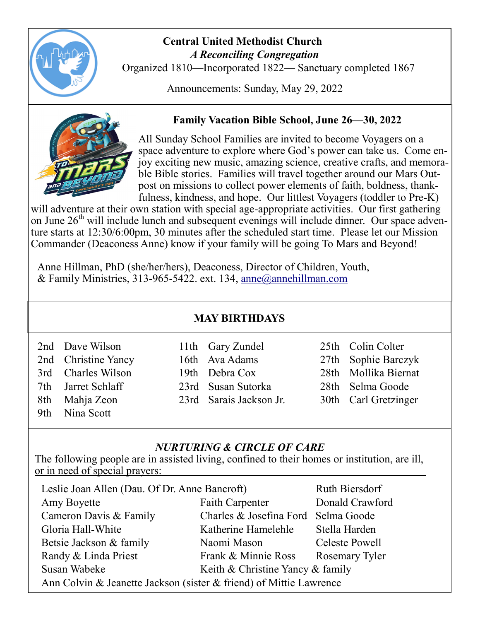

#### **Central United Methodist Church**  *A Reconciling Congregation*

Organized 1810—Incorporated 1822— Sanctuary completed 1867

Announcements: Sunday, May 29, 2022



## **Family Vacation Bible School, June 26—30, 2022**

All Sunday School Families are invited to become Voyagers on a space adventure to explore where God's power can take us. Come enjoy exciting new music, amazing science, creative crafts, and memorable Bible stories. Families will travel together around our Mars Outpost on missions to collect power elements of faith, boldness, thankfulness, kindness, and hope. Our littlest Voyagers (toddler to Pre-K)

will adventure at their own station with special age-appropriate activities. Our first gathering on June 26<sup>th</sup> will include lunch and subsequent evenings will include dinner. Our space adventure starts at 12:30/6:00pm, 30 minutes after the scheduled start time. Please let our Mission Commander (Deaconess Anne) know if your family will be going To Mars and Beyond!

Anne Hillman, PhD (she/her/hers), Deaconess, Director of Children, Youth, & Family Ministries, 313-965-5422. ext. 134, [anne@annehillman.com](mailto:anne@annehillman.com)

### **MAY BIRTHDAYS**

|     | 2nd Dave Wilson     | 11th Gary Zundel        | 25th Colin Colter    |
|-----|---------------------|-------------------------|----------------------|
|     | 2nd Christine Yancy | 16th Ava Adams          | 27th Sophie Barczyk  |
|     | 3rd Charles Wilson  | 19th Debra Cox          | 28th Mollika Biernat |
|     | 7th Jarret Schlaff  | 23rd Susan Sutorka      | 28th Selma Goode     |
|     | 8th Mahja Zeon      | 23rd Sarais Jackson Jr. | 30th Carl Gretzinger |
| 9th | Nina Scott          |                         |                      |

### *NURTURING & CIRCLE OF CARE*

The following people are in assisted living, confined to their homes or institution, are ill, or in need of special prayers:

| Leslie Joan Allen (Dau. Of Dr. Anne Bancroft)                      | Ruth Biersdorf                   |                 |  |  |  |  |
|--------------------------------------------------------------------|----------------------------------|-----------------|--|--|--|--|
| Amy Boyette                                                        | <b>Faith Carpenter</b>           | Donald Crawford |  |  |  |  |
| Cameron Davis & Family                                             | Charles & Josefina Ford          | Selma Goode     |  |  |  |  |
| Gloria Hall-White                                                  | Katherine Hamelehle              | Stella Harden   |  |  |  |  |
| Betsie Jackson & family                                            | Naomi Mason                      | Celeste Powell  |  |  |  |  |
| Randy & Linda Priest                                               | Frank & Minnie Ross              | Rosemary Tyler  |  |  |  |  |
| Susan Wabeke                                                       | Keith & Christine Yancy & family |                 |  |  |  |  |
| Ann Colvin & Jeanette Jackson (sister & friend) of Mittie Lawrence |                                  |                 |  |  |  |  |